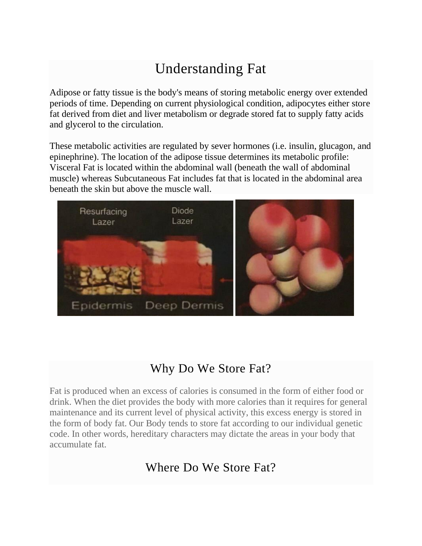# Understanding Fat

Adipose or fatty tissue is the body's means of storing metabolic energy over extended periods of time. Depending on current physiological condition, adipocytes either store fat derived from diet and liver metabolism or degrade stored fat to supply fatty acids and glycerol to the circulation.

These metabolic activities are regulated by sever hormones (i.e. insulin, glucagon, and epinephrine). The location of the adipose tissue determines its metabolic profile: Visceral Fat is located within the abdominal wall (beneath the wall of abdominal muscle) whereas Subcutaneous Fat includes fat that is located in the abdominal area beneath the skin but above the muscle wall.



## Why Do We Store Fat?

Fat is produced when an excess of calories is consumed in the form of either food or drink. When the diet provides the body with more calories than it requires for general maintenance and its current level of physical activity, this excess energy is stored in the form of body fat. Our Body tends to store fat according to our individual genetic code. In other words, hereditary characters may dictate the areas in your body that accumulate fat.

## Where Do We Store Fat?